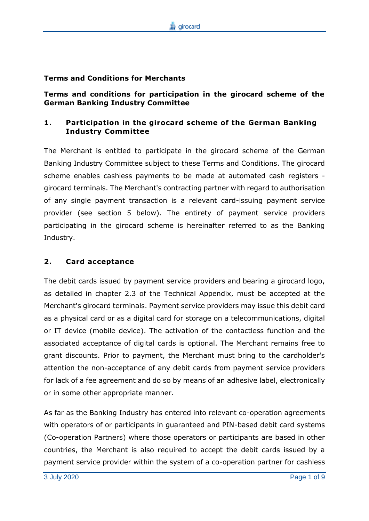#### **Terms and Conditions for Merchants**

**Terms and conditions for participation in the girocard scheme of the German Banking Industry Committee**

### **1. Participation in the girocard scheme of the German Banking Industry Committee**

The Merchant is entitled to participate in the girocard scheme of the German Banking Industry Committee subject to these Terms and Conditions. The girocard scheme enables cashless payments to be made at automated cash registers girocard terminals. The Merchant's contracting partner with regard to authorisation of any single payment transaction is a relevant card-issuing payment service provider (see section 5 below). The entirety of payment service providers participating in the girocard scheme is hereinafter referred to as the Banking Industry.

### **2. Card acceptance**

The debit cards issued by payment service providers and bearing a girocard logo, as detailed in chapter 2.3 of the Technical Appendix, must be accepted at the Merchant's girocard terminals. Payment service providers may issue this debit card as a physical card or as a digital card for storage on a telecommunications, digital or IT device (mobile device). The activation of the contactless function and the associated acceptance of digital cards is optional. The Merchant remains free to grant discounts. Prior to payment, the Merchant must bring to the cardholder's attention the non-acceptance of any debit cards from payment service providers for lack of a fee agreement and do so by means of an adhesive label, electronically or in some other appropriate manner.

As far as the Banking Industry has entered into relevant co-operation agreements with operators of or participants in guaranteed and PIN-based debit card systems (Co-operation Partners) where those operators or participants are based in other countries, the Merchant is also required to accept the debit cards issued by a payment service provider within the system of a co-operation partner for cashless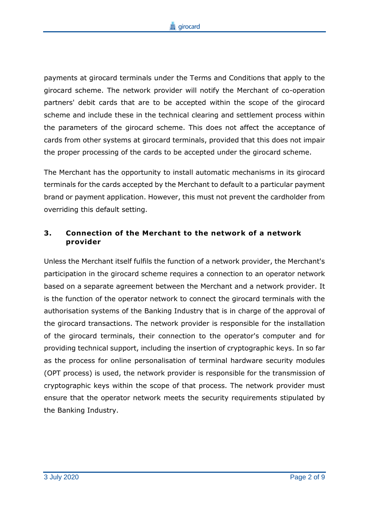payments at girocard terminals under the Terms and Conditions that apply to the girocard scheme. The network provider will notify the Merchant of co-operation partners' debit cards that are to be accepted within the scope of the girocard scheme and include these in the technical clearing and settlement process within the parameters of the girocard scheme. This does not affect the acceptance of cards from other systems at girocard terminals, provided that this does not impair the proper processing of the cards to be accepted under the girocard scheme.

The Merchant has the opportunity to install automatic mechanisms in its girocard terminals for the cards accepted by the Merchant to default to a particular payment brand or payment application. However, this must not prevent the cardholder from overriding this default setting.

# **3. Connection of the Merchant to the network of a network provider**

Unless the Merchant itself fulfils the function of a network provider, the Merchant's participation in the girocard scheme requires a connection to an operator network based on a separate agreement between the Merchant and a network provider. It is the function of the operator network to connect the girocard terminals with the authorisation systems of the Banking Industry that is in charge of the approval of the girocard transactions. The network provider is responsible for the installation of the girocard terminals, their connection to the operator's computer and for providing technical support, including the insertion of cryptographic keys. In so far as the process for online personalisation of terminal hardware security modules (OPT process) is used, the network provider is responsible for the transmission of cryptographic keys within the scope of that process. The network provider must ensure that the operator network meets the security requirements stipulated by the Banking Industry.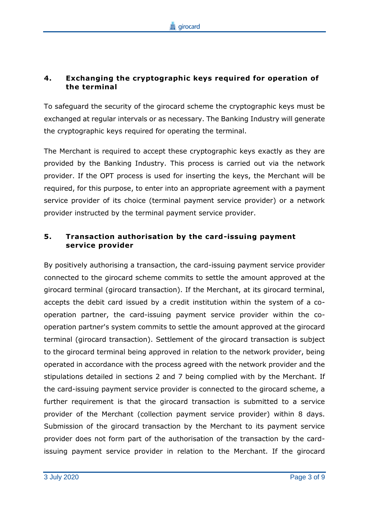# **4. Exchanging the cryptographic keys required for operation of the terminal**

To safeguard the security of the girocard scheme the cryptographic keys must be exchanged at regular intervals or as necessary. The Banking Industry will generate the cryptographic keys required for operating the terminal.

The Merchant is required to accept these cryptographic keys exactly as they are provided by the Banking Industry. This process is carried out via the network provider. If the OPT process is used for inserting the keys, the Merchant will be required, for this purpose, to enter into an appropriate agreement with a payment service provider of its choice (terminal payment service provider) or a network provider instructed by the terminal payment service provider.

# **5. Transaction authorisation by the card-issuing payment service provider**

By positively authorising a transaction, the card-issuing payment service provider connected to the girocard scheme commits to settle the amount approved at the girocard terminal (girocard transaction). If the Merchant, at its girocard terminal, accepts the debit card issued by a credit institution within the system of a cooperation partner, the card-issuing payment service provider within the cooperation partner's system commits to settle the amount approved at the girocard terminal (girocard transaction). Settlement of the girocard transaction is subject to the girocard terminal being approved in relation to the network provider, being operated in accordance with the process agreed with the network provider and the stipulations detailed in sections 2 and 7 being complied with by the Merchant. If the card-issuing payment service provider is connected to the girocard scheme, a further requirement is that the girocard transaction is submitted to a service provider of the Merchant (collection payment service provider) within 8 days. Submission of the girocard transaction by the Merchant to its payment service provider does not form part of the authorisation of the transaction by the cardissuing payment service provider in relation to the Merchant. If the girocard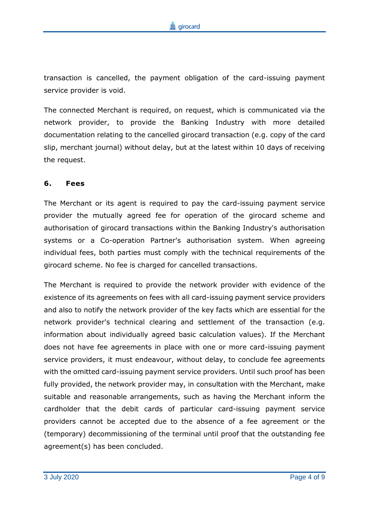transaction is cancelled, the payment obligation of the card-issuing payment service provider is void.

The connected Merchant is required, on request, which is communicated via the network provider, to provide the Banking Industry with more detailed documentation relating to the cancelled girocard transaction (e.g. copy of the card slip, merchant journal) without delay, but at the latest within 10 days of receiving the request.

#### **6. Fees**

The Merchant or its agent is required to pay the card-issuing payment service provider the mutually agreed fee for operation of the girocard scheme and authorisation of girocard transactions within the Banking Industry's authorisation systems or a Co-operation Partner's authorisation system. When agreeing individual fees, both parties must comply with the technical requirements of the girocard scheme. No fee is charged for cancelled transactions.

The Merchant is required to provide the network provider with evidence of the existence of its agreements on fees with all card-issuing payment service providers and also to notify the network provider of the key facts which are essential for the network provider's technical clearing and settlement of the transaction (e.g. information about individually agreed basic calculation values). If the Merchant does not have fee agreements in place with one or more card-issuing payment service providers, it must endeavour, without delay, to conclude fee agreements with the omitted card-issuing payment service providers. Until such proof has been fully provided, the network provider may, in consultation with the Merchant, make suitable and reasonable arrangements, such as having the Merchant inform the cardholder that the debit cards of particular card-issuing payment service providers cannot be accepted due to the absence of a fee agreement or the (temporary) decommissioning of the terminal until proof that the outstanding fee agreement(s) has been concluded.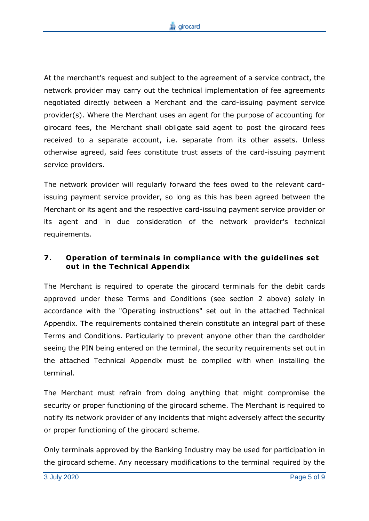At the merchant's request and subject to the agreement of a service contract, the network provider may carry out the technical implementation of fee agreements negotiated directly between a Merchant and the card-issuing payment service provider(s). Where the Merchant uses an agent for the purpose of accounting for girocard fees, the Merchant shall obligate said agent to post the girocard fees received to a separate account, i.e. separate from its other assets. Unless otherwise agreed, said fees constitute trust assets of the card-issuing payment service providers.

The network provider will regularly forward the fees owed to the relevant cardissuing payment service provider, so long as this has been agreed between the Merchant or its agent and the respective card-issuing payment service provider or its agent and in due consideration of the network provider's technical requirements.

# **7. Operation of terminals in compliance with the guidelines set out in the Technical Appendix**

The Merchant is required to operate the girocard terminals for the debit cards approved under these Terms and Conditions (see section 2 above) solely in accordance with the "Operating instructions" set out in the attached Technical Appendix. The requirements contained therein constitute an integral part of these Terms and Conditions. Particularly to prevent anyone other than the cardholder seeing the PIN being entered on the terminal, the security requirements set out in the attached Technical Appendix must be complied with when installing the terminal.

The Merchant must refrain from doing anything that might compromise the security or proper functioning of the girocard scheme. The Merchant is required to notify its network provider of any incidents that might adversely affect the security or proper functioning of the girocard scheme.

Only terminals approved by the Banking Industry may be used for participation in the girocard scheme. Any necessary modifications to the terminal required by the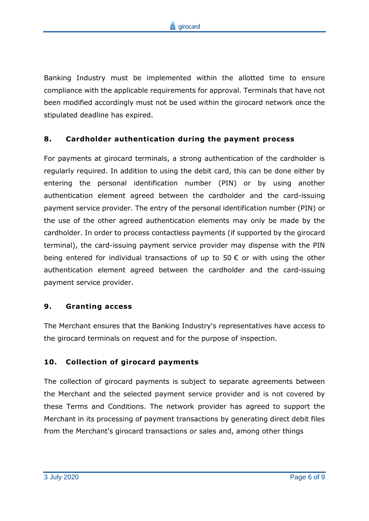Banking Industry must be implemented within the allotted time to ensure compliance with the applicable requirements for approval. Terminals that have not been modified accordingly must not be used within the girocard network once the stipulated deadline has expired.

### **8. Cardholder authentication during the payment process**

For payments at girocard terminals, a strong authentication of the cardholder is regularly required. In addition to using the debit card, this can be done either by entering the personal identification number (PIN) or by using another authentication element agreed between the cardholder and the card-issuing payment service provider. The entry of the personal identification number (PIN) or the use of the other agreed authentication elements may only be made by the cardholder. In order to process contactless payments (if supported by the girocard terminal), the card-issuing payment service provider may dispense with the PIN being entered for individual transactions of up to 50  $\epsilon$  or with using the other authentication element agreed between the cardholder and the card-issuing payment service provider.

### **9. Granting access**

The Merchant ensures that the Banking Industry's representatives have access to the girocard terminals on request and for the purpose of inspection.

# **10. Collection of girocard payments**

The collection of girocard payments is subject to separate agreements between the Merchant and the selected payment service provider and is not covered by these Terms and Conditions. The network provider has agreed to support the Merchant in its processing of payment transactions by generating direct debit files from the Merchant's girocard transactions or sales and, among other things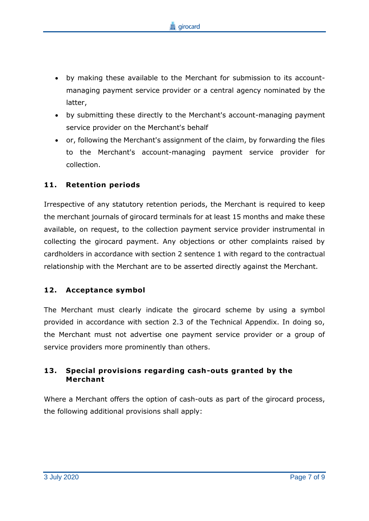- by making these available to the Merchant for submission to its accountmanaging payment service provider or a central agency nominated by the latter,
- by submitting these directly to the Merchant's account-managing payment service provider on the Merchant's behalf
- or, following the Merchant's assignment of the claim, by forwarding the files to the Merchant's account-managing payment service provider for collection.

### **11. Retention periods**

Irrespective of any statutory retention periods, the Merchant is required to keep the merchant journals of girocard terminals for at least 15 months and make these available, on request, to the collection payment service provider instrumental in collecting the girocard payment. Any objections or other complaints raised by cardholders in accordance with section 2 sentence 1 with regard to the contractual relationship with the Merchant are to be asserted directly against the Merchant.

### **12. Acceptance symbol**

The Merchant must clearly indicate the girocard scheme by using a symbol provided in accordance with section 2.3 of the Technical Appendix. In doing so, the Merchant must not advertise one payment service provider or a group of service providers more prominently than others.

### **13. Special provisions regarding cash-outs granted by the Merchant**

Where a Merchant offers the option of cash-outs as part of the girocard process, the following additional provisions shall apply: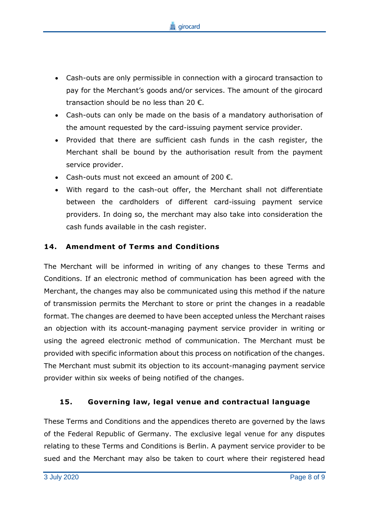

- Cash-outs are only permissible in connection with a girocard transaction to pay for the Merchant's goods and/or services. The amount of the girocard transaction should be no less than 20  $\epsilon$ .
- Cash-outs can only be made on the basis of a mandatory authorisation of the amount requested by the card-issuing payment service provider.
- Provided that there are sufficient cash funds in the cash register, the Merchant shall be bound by the authorisation result from the payment service provider.
- Cash-outs must not exceed an amount of 200 €.
- With regard to the cash-out offer, the Merchant shall not differentiate between the cardholders of different card-issuing payment service providers. In doing so, the merchant may also take into consideration the cash funds available in the cash register.

### **14. Amendment of Terms and Conditions**

The Merchant will be informed in writing of any changes to these Terms and Conditions. If an electronic method of communication has been agreed with the Merchant, the changes may also be communicated using this method if the nature of transmission permits the Merchant to store or print the changes in a readable format. The changes are deemed to have been accepted unless the Merchant raises an objection with its account-managing payment service provider in writing or using the agreed electronic method of communication. The Merchant must be provided with specific information about this process on notification of the changes. The Merchant must submit its objection to its account-managing payment service provider within six weeks of being notified of the changes.

### **15. Governing law, legal venue and contractual language**

These Terms and Conditions and the appendices thereto are governed by the laws of the Federal Republic of Germany. The exclusive legal venue for any disputes relating to these Terms and Conditions is Berlin. A payment service provider to be sued and the Merchant may also be taken to court where their registered head